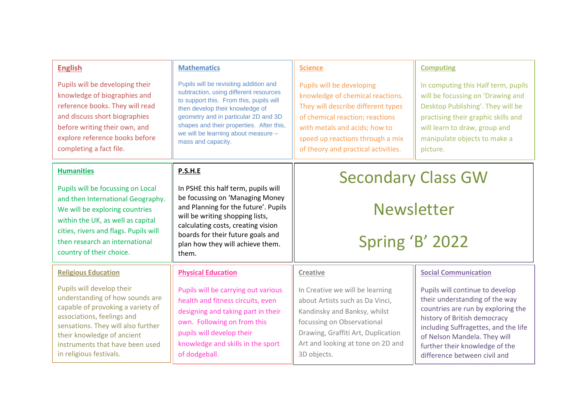| <b>English</b>                                                                                                                                                                                                                                                    | <b>Mathematics</b>                                                                                                                                                                                                                                                                                              | <b>Science</b>                                                                                                                                                                                                                                     | <b>Computing</b>                                                                                                                                                                                                                                                                  |
|-------------------------------------------------------------------------------------------------------------------------------------------------------------------------------------------------------------------------------------------------------------------|-----------------------------------------------------------------------------------------------------------------------------------------------------------------------------------------------------------------------------------------------------------------------------------------------------------------|----------------------------------------------------------------------------------------------------------------------------------------------------------------------------------------------------------------------------------------------------|-----------------------------------------------------------------------------------------------------------------------------------------------------------------------------------------------------------------------------------------------------------------------------------|
| Pupils will be developing their<br>knowledge of biographies and<br>reference books. They will read<br>and discuss short biographies<br>before writing their own, and<br>explore reference books before<br>completing a fact file.                                 | Pupils will be revisiting addition and<br>subtraction, using different resources<br>to support this. From this, pupils will<br>then develop their knowledge of<br>geometry and in particular 2D and 3D<br>shapes and their properties. After this,<br>we will be learning about measure -<br>mass and capacity. | Pupils will be developing<br>knowledge of chemical reactions.<br>They will describe different types<br>of chemical reaction; reactions<br>with metals and acids; how to<br>speed up reactions through a mix<br>of theory and practical activities. | In computing this Half term, pupils<br>will be focussing on 'Drawing and<br>Desktop Publishing'. They will be<br>practising their graphic skills and<br>will learn to draw, group and<br>manipulate objects to make a<br>picture.                                                 |
| <b>Humanities</b>                                                                                                                                                                                                                                                 | P.S.H.E                                                                                                                                                                                                                                                                                                         | <b>Secondary Class GW</b><br><b>Newsletter</b><br>Spring 'B' 2022                                                                                                                                                                                  |                                                                                                                                                                                                                                                                                   |
| Pupils will be focussing on Local<br>and then International Geography.<br>We will be exploring countries<br>within the UK, as well as capital<br>cities, rivers and flags. Pupils will<br>then research an international<br>country of their choice.              | In PSHE this half term, pupils will<br>be focussing on 'Managing Money<br>and Planning for the future'. Pupils<br>will be writing shopping lists,<br>calculating costs, creating vision<br>boards for their future goals and<br>plan how they will achieve them.<br>them.                                       |                                                                                                                                                                                                                                                    |                                                                                                                                                                                                                                                                                   |
| <b>Religious Education</b>                                                                                                                                                                                                                                        | <b>Physical Education</b>                                                                                                                                                                                                                                                                                       | Creative                                                                                                                                                                                                                                           | <b>Social Communication</b>                                                                                                                                                                                                                                                       |
| Pupils will develop their<br>understanding of how sounds are<br>capable of provoking a variety of<br>associations, feelings and<br>sensations. They will also further<br>their knowledge of ancient<br>instruments that have been used<br>in religious festivals. | Pupils will be carrying out various<br>health and fitness circuits, even<br>designing and taking part in their<br>own. Following on from this<br>pupils will develop their<br>knowledge and skills in the sport<br>of dodgeball.                                                                                | In Creative we will be learning<br>about Artists such as Da Vinci,<br>Kandinsky and Banksy, whilst<br>focussing on Observational<br>Drawing, Graffiti Art, Duplication<br>Art and looking at tone on 2D and<br>3D objects.                         | Pupils will continue to develop<br>their understanding of the way<br>countries are run by exploring the<br>history of British democracy<br>including Suffragettes, and the life<br>of Nelson Mandela. They will<br>further their knowledge of the<br>difference between civil and |